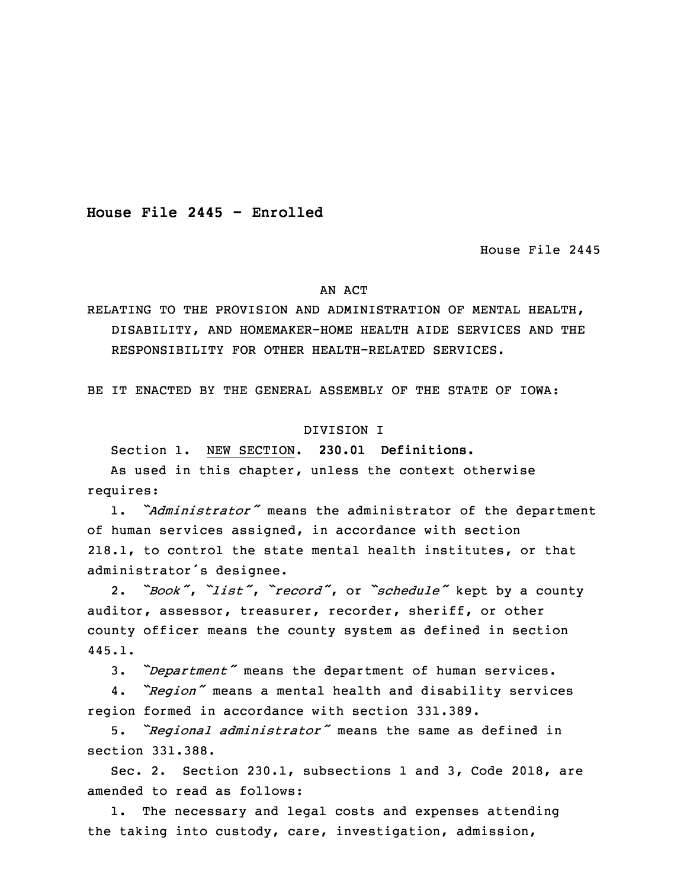**House File 2445 - Enrolled**

House File 2445

#### AN ACT

RELATING TO THE PROVISION AND ADMINISTRATION OF MENTAL HEALTH, DISABILITY, AND HOMEMAKER-HOME HEALTH AIDE SERVICES AND THE RESPONSIBILITY FOR OTHER HEALTH-RELATED SERVICES.

BE IT ENACTED BY THE GENERAL ASSEMBLY OF THE STATE OF IOWA:

#### DIVISION I

Section 1. NEW SECTION. **230.01 Definitions.**

As used in this chapter, unless the context otherwise requires:

1. "*Administrator"* means the administrator of the department of human services assigned, in accordance with section 218.1, to control the state mental health institutes, or that administrator's designee.

<sup>9</sup> 2. *"Book"*, *"list"*, *"record"*, or *"schedule"* kept by <sup>a</sup> county auditor, assessor, treasurer, recorder, sheriff, or other county officer means the county system as defined in section 445.1.

<sup>13</sup> 3. *"Department"* means the department of human services.

 4. *"Region"* means <sup>a</sup> mental health and disability services 15 region formed in accordance with section 331.389.

<sup>16</sup> 5. *"Regional administrator"* means the same as defined in section 331.388.

Sec. 2. Section 230.1, subsections 1 and 3, Code 2018, are amended to read as follows:

1. The necessary and legal costs and expenses attending the taking into custody, care, investigation, admission,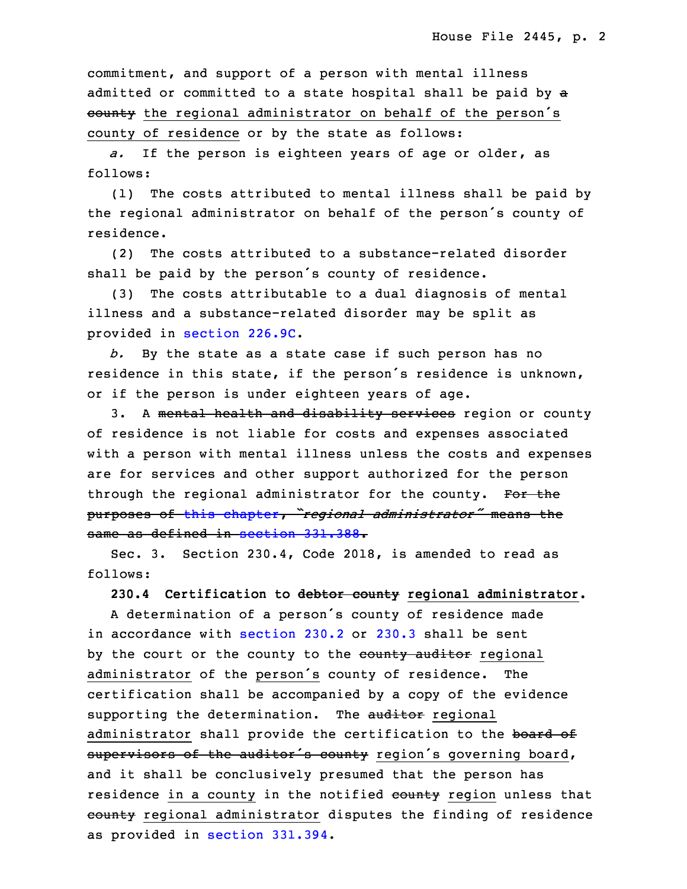commitment, and support of <sup>a</sup> person with mental illness admitted or committed to a state hospital shall be paid by a county the regional administrator on behalf of the person's county of residence or by the state as follows:

a. If the person is eighteen years of age or older, as follows:

(1) The costs attributed to mental illness shall be paid by the regional administrator on behalf of the person's county of residence.

(2) The costs attributed to a substance-related disorder shall be paid by the person's county of residence.

33 (3) The costs attributable to <sup>a</sup> dual diagnosis of mental illness and a substance-related disorder may be split as provided in [section](https://www.legis.iowa.gov/docs/code/2018/226.9C.pdf) 226.9C.

 *b.* By the state as <sup>a</sup> state case if such person has no residence in this state, if the person's residence is unknown, or if the person is under eighteen years of age.

3. A mental health and disability services region or county of residence is not liable for costs and expenses associated with a person with mental illness unless the costs and expenses are for services and other support authorized for the person through the regional administrator for the county. For the <sup>9</sup> purposes of this [chapter](https://www.legis.iowa.gov/docs/code/2018/230.pdf), *"regional administrator"* means the same as defined in section [331.388](https://www.legis.iowa.gov/docs/code/2018/331.388.pdf).

 Sec. 3. Section 230.4, Code 2018, is amended to read as follows:

13 **230.4 Certification to debtor county regional administrator.**

 <sup>A</sup> determination of <sup>a</sup> person's county of residence made in accordance with [section](https://www.legis.iowa.gov/docs/code/2018/230.2.pdf)  $230.2$  or  $230.3$  shall be sent by the court or the county to the county auditor regional administrator of the person's county of residence. The certification shall be accompanied by a copy of the evidence supporting the determination. The auditor regional administrator shall provide the certification to the board of supervisors of the auditor's county region's governing board, and it shall be conclusively presumed that the person has residence in a county in the notified county region unless that county regional administrator disputes the finding of residence as provided in [section](https://www.legis.iowa.gov/docs/code/2018/331.394.pdf) 331.394.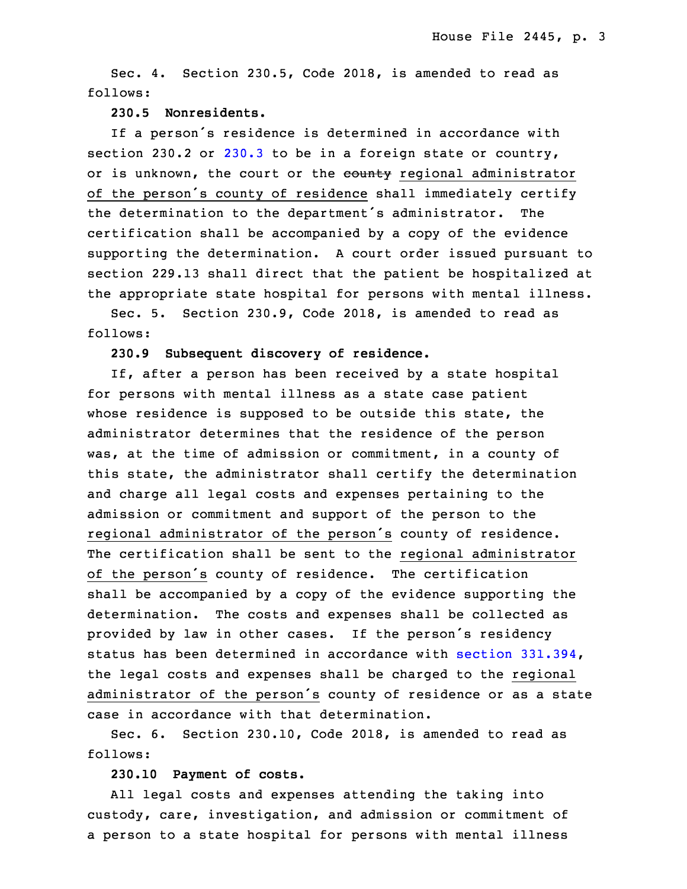Sec. 4. Section 230.5, Code 2018, is amended to read as follows:

### 28 **230.5 Nonresidents.**

If a person's residence is determined in accordance with section 230.2 or [230.3](https://www.legis.iowa.gov/docs/code/2018/230.3.pdf) to be in a foreign state or country, or is unknown, the court or the county regional administrator of the person's county of residence shall immediately certify the determination to the department's administrator. The certification shall be accompanied by a copy of the evidence supporting the determination. A court order issued pursuant to section 229.13 shall direct that the patient be hospitalized at the appropriate state hospital for persons with mental illness.

Sec. 5. Section 230.9, Code 2018, is amended to read as follows:

## 5 **230.9 Subsequent discovery of residence.**

If, after a person has been received by a state hospital for persons with mental illness as a state case patient whose residence is supposed to be outside this state, the administrator determines that the residence of the person was, at the time of admission or commitment, in a county of this state, the administrator shall certify the determination and charge all legal costs and expenses pertaining to the admission or commitment and support of the person to the regional administrator of the person's county of residence. The certification shall be sent to the regional administrator of the person's county of residence. The certification shall be accompanied by a copy of the evidence supporting the determination. The costs and expenses shall be collected as provided by law in other cases. If the person's residency status has been determined in accordance with section  $331.394$ , the legal costs and expenses shall be charged to the regional administrator of the person's county of residence or as <sup>a</sup> state case in accordance with that determination.

 Sec. 6. Section 230.10, Code 2018, is amended to read as follows:

### 26 **230.10 Payment of costs.**

All legal costs and expenses attending the taking into custody, care, investigation, and admission or commitment of a person to a state hospital for persons with mental illness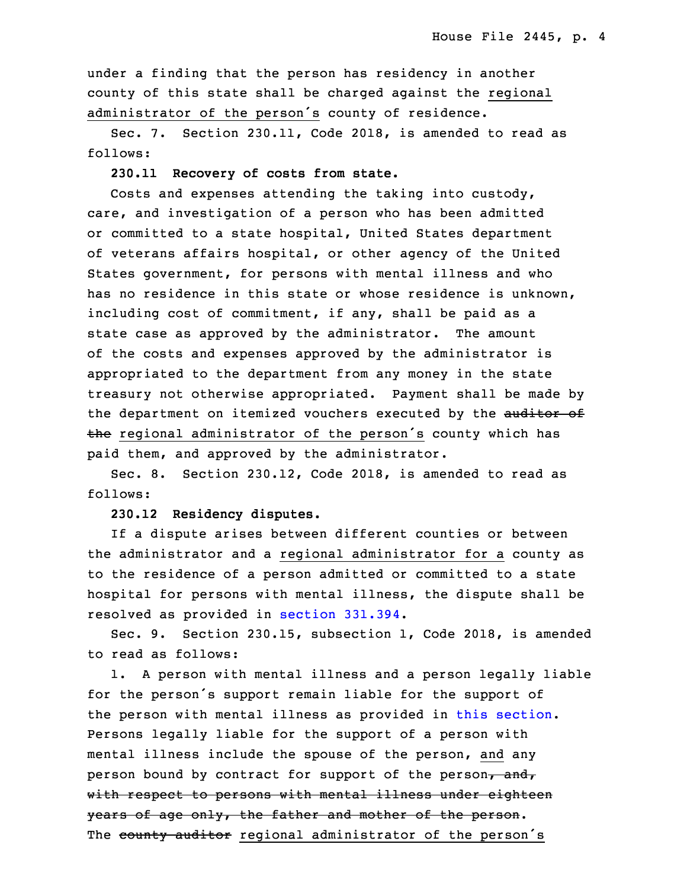under a finding that the person has residency in another county of this state shall be charged against the regional administrator of the person's county of residence.

Sec. 7. Section 230.11, Code 2018, is amended to read as follows:

35 **230.11 Recovery of costs from state.**

 Costs and expenses attending the taking into custody, care, and investigation of <sup>a</sup> person who has been admitted or committed to a state hospital, United States department of veterans affairs hospital, or other agency of the United 5 States government, for persons with mental illness and who has no residence in this state or whose residence is unknown, including cost of commitment, if any, shall be paid as a state case as approved by the administrator. The amount of the costs and expenses approved by the administrator is appropriated to the department from any money in the state treasury not otherwise appropriated. Payment shall be made by the department on itemized vouchers executed by the auditor of the regional administrator of the person's county which has paid them, and approved by the administrator.

Sec. 8. Section 230.12, Code 2018, is amended to read as follows:

17 **230.12 Residency disputes.**

If a dispute arises between different counties or between the administrator and a regional administrator for a county as to the residence of a person admitted or committed to a state hospital for persons with mental illness, the dispute shall be resolved as provided in section [331.394](https://www.legis.iowa.gov/docs/code/2018/331.394.pdf).

Sec. 9. Section 230.15, subsection 1, Code 2018, is amended to read as follows:

1. A person with mental illness and a person legally liable for the person's support remain liable for the support of the person with mental illness as provided in this [section](https://www.legis.iowa.gov/docs/code/2018/230.15.pdf). Persons legally liable for the support of a person with mental illness include the spouse of the person, and any person bound by contract for support of the person, and, with respect to persons with mental illness under eighteen years of age only, the father and mother of the person. The county auditor regional administrator of the person's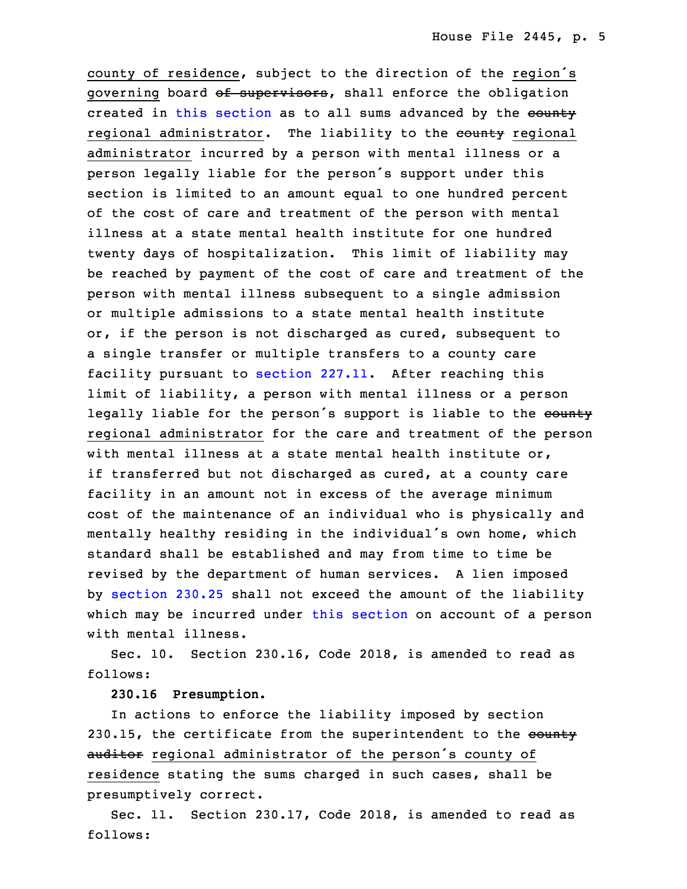county of residence, subject to the direction of the region's governing board of supervisors, shall enforce the obligation created in this [section](https://www.legis.iowa.gov/docs/code/2018/230.15.pdf) as to all sums advanced by the county regional administrator. The liability to the county regional administrator incurred by a person with mental illness or a person legally liable for the person's support under this 5 section is limited to an amount equal to one hundred percent of the cost of care and treatment of the person with mental illness at a state mental health institute for one hundred twenty days of hospitalization. This limit of liability may be reached by payment of the cost of care and treatment of the person with mental illness subsequent to a single admission or multiple admissions to <sup>a</sup> state mental health institute or, if the person is not discharged as cured, subsequent to a single transfer or multiple transfers to a county care facility pursuant to [section](https://www.legis.iowa.gov/docs/code/2018/227.11.pdf) 227.11. After reaching this limit of liability, a person with mental illness or a person legally liable for the person's support is liable to the county regional administrator for the care and treatment of the person with mental illness at a state mental health institute or, if transferred but not discharged as cured, at a county care facility in an amount not in excess of the average minimum cost of the maintenance of an individual who is physically and mentally healthy residing in the individual's own home, which standard shall be established and may from time to time be revised by the department of human services. <sup>A</sup> lien imposed by [section](https://www.legis.iowa.gov/docs/code/2018/230.25.pdf) 230.25 shall not exceed the amount of the liability which may be incurred under this [section](https://www.legis.iowa.gov/docs/code/2018/230.15.pdf) on account of a person with mental illness.

Sec. 10. Section 230.16, Code 2018, is amended to read as follows:

# 30 **230.16 Presumption.**

In actions to enforce the liability imposed by section 230.15, the certificate from the superintendent to the county auditor regional administrator of the person's county of residence stating the sums charged in such cases, shall be presumptively correct.

 Sec. 11. Section 230.17, Code 2018, is amended to read as follows: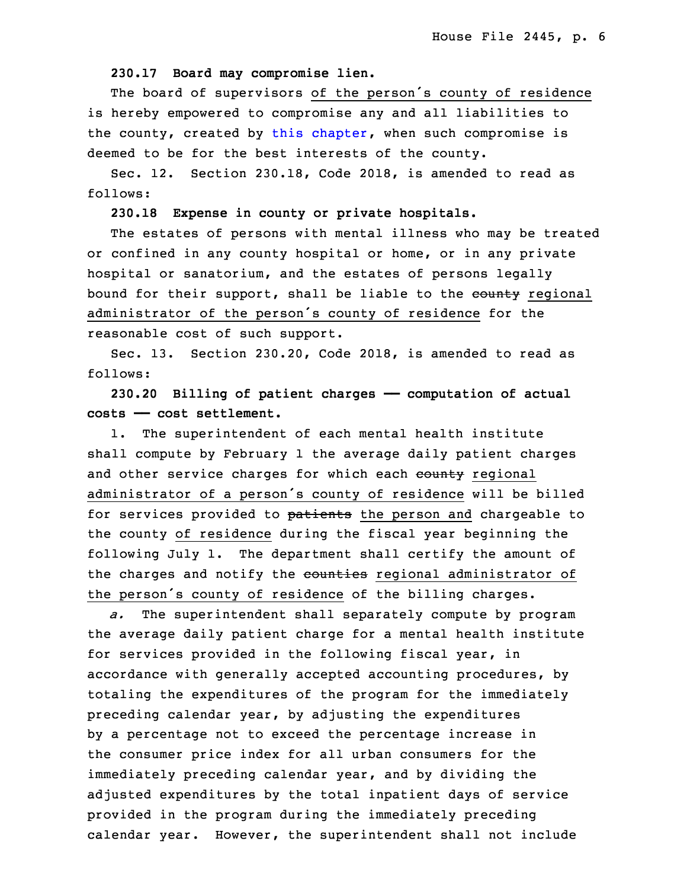### 3 **230.17 Board may compromise lien.**

 The board of supervisors of the person's county of residence is hereby empowered to compromise any and all liabilities to the county, created by this [chapter](https://www.legis.iowa.gov/docs/code/2018/230.pdf), when such compromise is deemed to be for the best interests of the county.

8 Sec. 12. Section 230.18, Code 2018, is amended to read as follows:

#### 10 **230.18 Expense in county or private hospitals.**

 The estates of persons with mental illness who may be treated or confined in any county hospital or home, or in any private hospital or sanatorium, and the estates of persons legally bound for their support, shall be liable to the county regional administrator of the person's county of residence for the reasonable cost of such support.

Sec. 13. Section 230.20, Code 2018, is amended to read as follows:

19 **230.20 Billing of patient charges —— computation of actual** 20 **costs —— cost settlement.**

 1. The superintendent of each mental health institute shall compute by February 1 the average daily patient charges and other service charges for which each county regional administrator of <sup>a</sup> person's county of residence will be billed for services provided to patients the person and chargeable to the county of residence during the fiscal year beginning the following July 1. The department shall certify the amount of the charges and notify the counties regional administrator of the person's county of residence of the billing charges.

a. The superintendent shall separately compute by program the average daily patient charge for a mental health institute for services provided in the following fiscal year, in accordance with generally accepted accounting procedures, by totaling the expenditures of the program for the immediately preceding calendar year, by adjusting the expenditures by <sup>a</sup> percentage not to exceed the percentage increase in the consumer price index for all urban consumers for the immediately preceding calendar year, and by dividing the adjusted expenditures by the total inpatient days of service provided in the program during the immediately preceding calendar year. However, the superintendent shall not include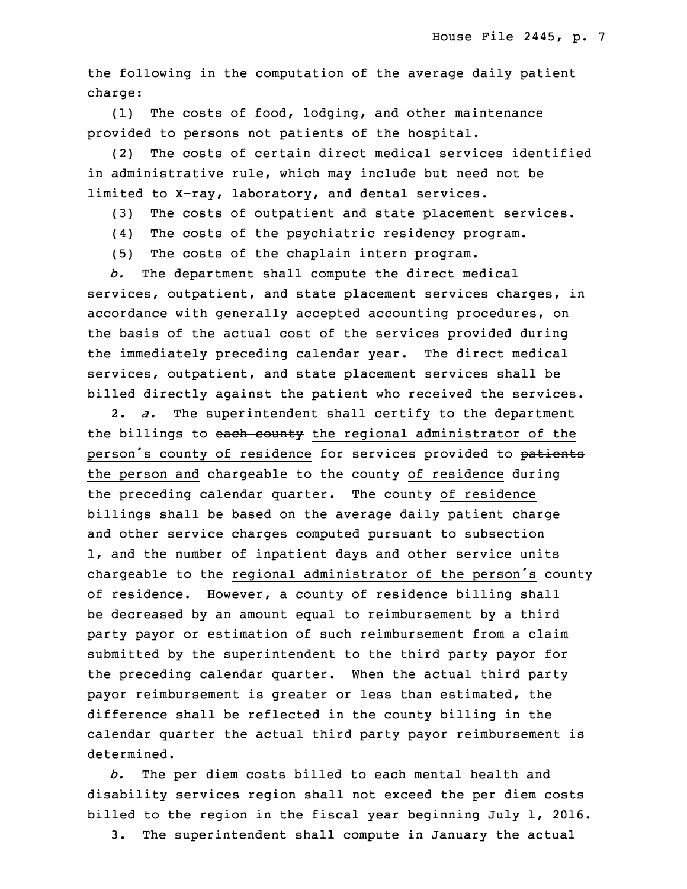the following in the computation of the average daily patient charge:

(1) The costs of food, lodging, and other maintenance provided to persons not patients of the hospital.

 (2) The costs of certain direct medical services identified in administrative rule, which may include but need not be limited to X-ray, laboratory, and dental services.

- (3) The costs of outpatient and state placement services.
- (4) The costs of the psychiatric residency program.
- 16 (5) The costs of the chaplain intern program.

b. The department shall compute the direct medical services, outpatient, and state placement services charges, in accordance with generally accepted accounting procedures, on the basis of the actual cost of the services provided during the immediately preceding calendar year. The direct medical services, outpatient, and state placement services shall be billed directly against the patient who received the services.

 2. *a.* The superintendent shall certify to the department the billings to each county the regional administrator of the person's county of residence for services provided to patients the person and chargeable to the county of residence during the preceding calendar quarter. The county of residence billings shall be based on the average daily patient charge and other service charges computed pursuant to subsection 1, and the number of inpatient days and other service units chargeable to the regional administrator of the person's county of residence. However, a county of residence billing shall be decreased by an amount equal to reimbursement by a third party payor or estimation of such reimbursement from a claim submitted by the superintendent to the third party payor for the preceding calendar quarter. When the actual third party payor reimbursement is greater or less than estimated, the difference shall be reflected in the county billing in the calendar quarter the actual third party payor reimbursement is determined.

7 *b.* The per diem costs billed to each mental health and disability services region shall not exceed the per diem costs billed to the region in the fiscal year beginning July 1, 2016.

3. The superintendent shall compute in January the actual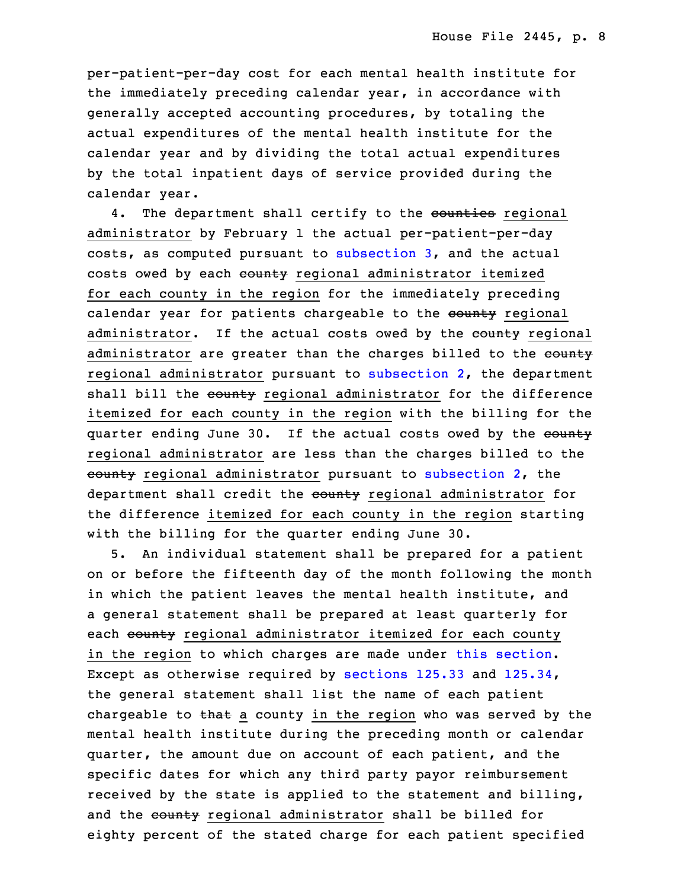per-patient-per-day cost for each mental health institute for the immediately preceding calendar year, in accordance with generally accepted accounting procedures, by totaling the actual expenditures of the mental health institute for the calendar year and by dividing the total actual expenditures by the total inpatient days of service provided during the calendar year.

4. The department shall certify to the counties regional administrator by February 1 the actual per-patient-per-day costs, as computed pursuant to [subsection](https://www.legis.iowa.gov/docs/code/2018/230.20.pdf) 3, and the actual costs owed by each county regional administrator itemized for each county in the region for the immediately preceding calendar year for patients chargeable to the county regional administrator. If the actual costs owed by the county regional administrator are greater than the charges billed to the county regional administrator pursuant to [subsection](https://www.legis.iowa.gov/docs/code/2018/230.20.pdf)  $2$ , the department shall bill the county regional administrator for the difference itemized for each county in the region with the billing for the quarter ending June 30. If the actual costs owed by the county regional administrator are less than the charges billed to the  $\frac{3}{2}$  regional administrator pursuant to [subsection](https://www.legis.iowa.gov/docs/code/2018/230.20.pdf) 2, the department shall credit the county regional administrator for the difference itemized for each county in the region starting with the billing for the quarter ending June 30.

35 5. An individual statement shall be prepared for <sup>a</sup> patient on or before the fifteenth day of the month following the month in which the patient leaves the mental health institute, and a general statement shall be prepared at least quarterly for each county regional administrator itemized for each county in the region to which charges are made under this [section](https://www.legis.iowa.gov/docs/code/2018/230.20.pdf). Except as otherwise required by [sections](https://www.legis.iowa.gov/docs/code/2018/125.33.pdf) 125.33 and [125.34](https://www.legis.iowa.gov/docs/code/2018/125.34.pdf), the general statement shall list the name of each patient chargeable to that a county in the region who was served by the mental health institute during the preceding month or calendar quarter, the amount due on account of each patient, and the specific dates for which any third party payor reimbursement received by the state is applied to the statement and billing, and the county regional administrator shall be billed for eighty percent of the stated charge for each patient specified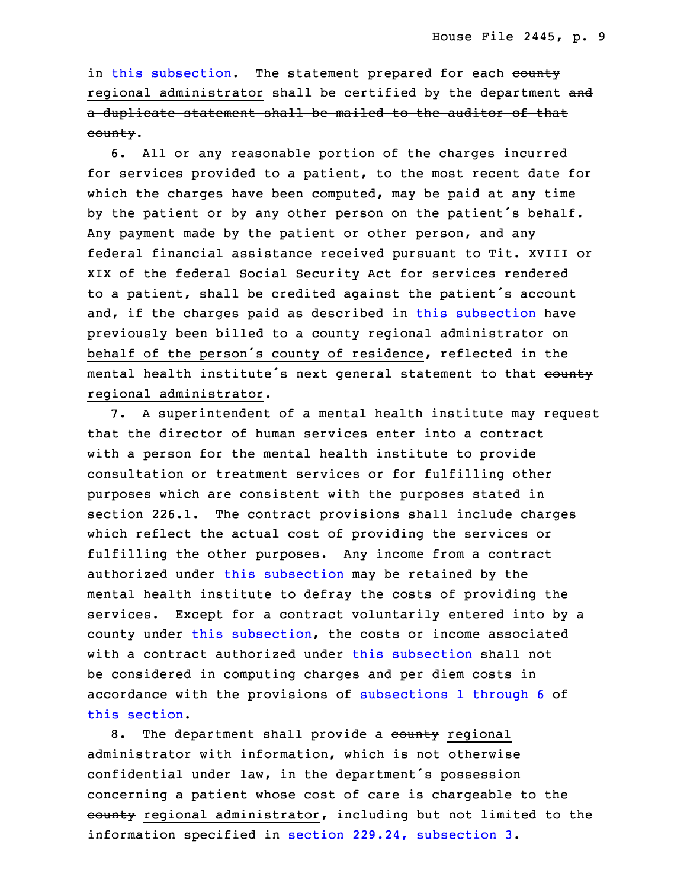in this [subsection](https://www.legis.iowa.gov/docs/code/2018/230.20.pdf). The statement prepared for each county regional administrator shall be certified by the department and a duplicate statement shall be mailed to the auditor of that county.

6. All or any reasonable portion of the charges incurred for services provided to a patient, to the most recent date for which the charges have been computed, may be paid at any time by the patient or by any other person on the patient's behalf. Any payment made by the patient or other person, and any federal financial assistance received pursuant to Tit. XVIII or XIX of the federal Social Security Act for services rendered <sup>26</sup> to <sup>a</sup> patient, shall be credited against the patient's account and, if the charges paid as described in this [subsection](https://www.legis.iowa.gov/docs/code/2018/230.20.pdf) have previously been billed to a county regional administrator on behalf of the person's county of residence, reflected in the mental health institute's next general statement to that county regional administrator.

7. A superintendent of a mental health institute may request that the director of human services enter into a contract with a person for the mental health institute to provide consultation or treatment services or for fulfilling other purposes which are consistent with the purposes stated in section 226.1. The contract provisions shall include charges which reflect the actual cost of providing the services or fulfilling the other purposes. Any income from <sup>a</sup> contract authorized under this [subsection](https://www.legis.iowa.gov/docs/code/2018/230.20.pdf) may be retained by the mental health institute to defray the costs of providing the services. Except for a contract voluntarily entered into by a county under this [subsection](https://www.legis.iowa.gov/docs/code/2018/230.20.pdf), the costs or income associated with a contract authorized under this [subsection](https://www.legis.iowa.gov/docs/code/2018/230.20.pdf) shall not be considered in computing charges and per diem costs in accordance with the provisions of [subsections](https://www.legis.iowa.gov/docs/code/2018/230.20.pdf) 1 through  $6$  of this [section](https://www.legis.iowa.gov/docs/code/2018/230.20.pdf).

8. The department shall provide a county regional administrator with information, which is not otherwise confidential under law, in the department's possession concerning a patient whose cost of care is chargeable to the eounty regional administrator, including but not limited to the information specified in section  $229.24$ , [subsection](https://www.legis.iowa.gov/docs/code/2018/229.24.pdf) 3.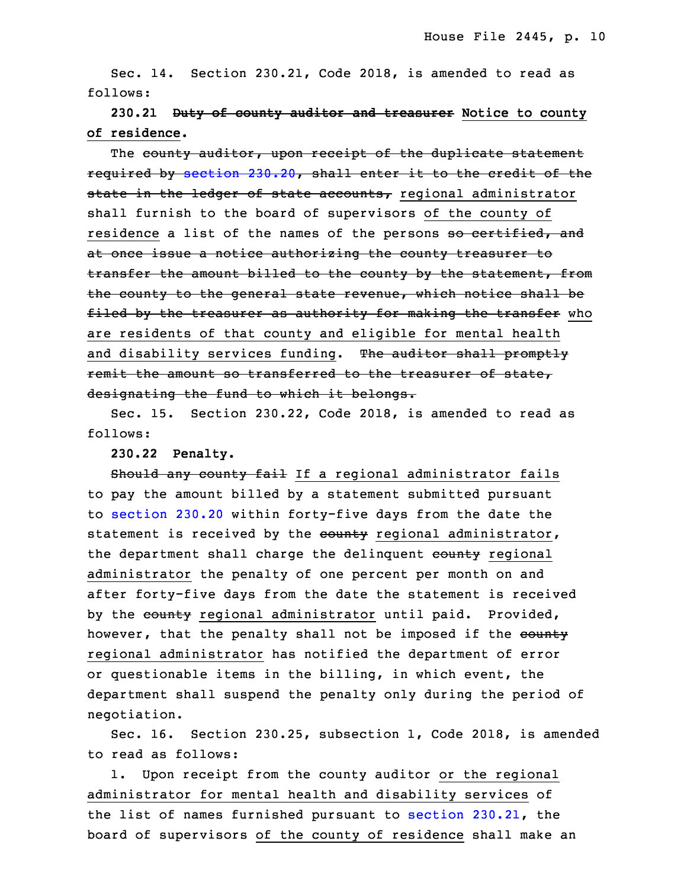Sec. 14. Section 230.21, Code 2018, is amended to read as follows:

 **230.21 Duty of county auditor and treasurer Notice to county of residence.**

The county auditor, upon receipt of the duplicate statement required by [section](https://www.legis.iowa.gov/docs/code/2018/230.20.pdf) 230.20, shall enter it to the credit of the state in the ledger of state accounts, regional administrator shall furnish to the board of supervisors of the county of residence a list of the names of the persons so certified, and at once issue a notice authorizing the county treasurer to transfer the amount billed to the county by the statement, from the county to the general state revenue, which notice shall be filed by the treasurer as authority for making the transfer who are residents of that county and eligible for mental health and disability services funding. The auditor shall promptly remit the amount so transferred to the treasurer of state, designating the fund to which it belongs.

 Sec. 15. Section 230.22, Code 2018, is amended to read as follows:

3 **230.22 Penalty.**

Should any county fail If a regional administrator fails to pay the amount billed by a statement submitted pursuant to [section](https://www.legis.iowa.gov/docs/code/2018/230.20.pdf) 230.20 within forty-five days from the date the statement is received by the county regional administrator, the department shall charge the delinquent county regional administrator the penalty of one percent per month on and after forty-five days from the date the statement is received by the county regional administrator until paid. Provided, however, that the penalty shall not be imposed if the eounty regional administrator has notified the department of error or questionable items in the billing, in which event, the department shall suspend the penalty only during the period of negotiation.

Sec. 16. Section 230.25, subsection 1, Code 2018, is amended to read as follows:

1. Upon receipt from the county auditor or the regional administrator for mental health and disability services of the list of names furnished pursuant to section [230.21](https://www.legis.iowa.gov/docs/code/2018/230.21.pdf), the board of supervisors of the county of residence shall make an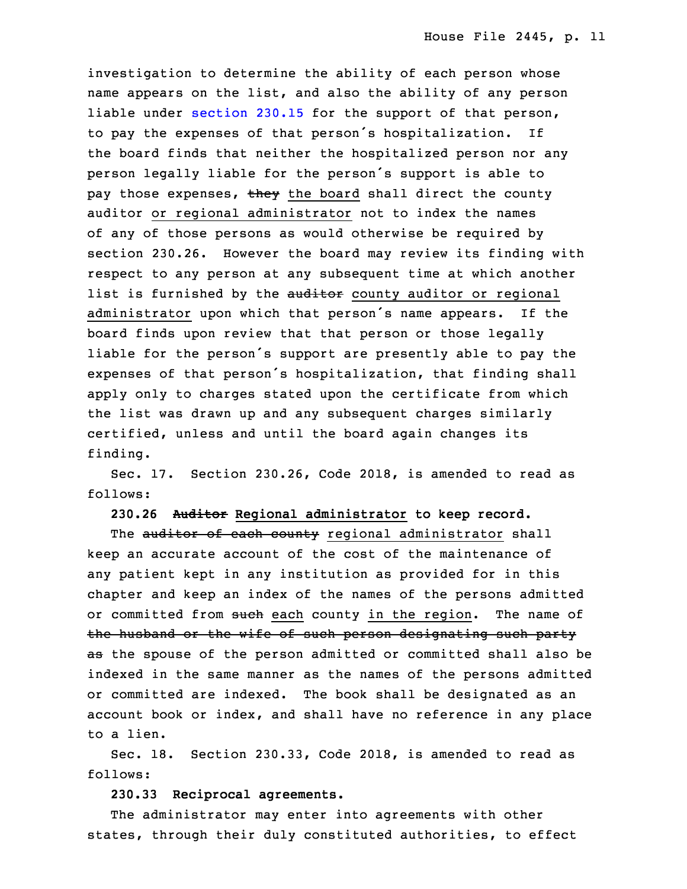investigation to determine the ability of each person whose name appears on the list, and also the ability of any person liable under [section](https://www.legis.iowa.gov/docs/code/2018/230.15.pdf) 230.15 for the support of that person, to pay the expenses of that person's hospitalization. If the board finds that neither the hospitalized person nor any person legally liable for the person's support is able to pay those expenses, they the board shall direct the county auditor or regional administrator not to index the names of any of those persons as would otherwise be required by section 230.26. However the board may review its finding with respect to any person at any subsequent time at which another list is furnished by the auditor county auditor or regional administrator upon which that person's name appears. If the board finds upon review that that person or those legally liable for the person's support are presently able to pay the expenses of that person's hospitalization, that finding shall apply only to charges stated upon the certificate from which the list was drawn up and any subsequent charges similarly certified, unless and until the board again changes its finding.

Sec. 17. Section 230.26, Code 2018, is amended to read as follows:

10 **230.26 Auditor Regional administrator to keep record.**

The auditor of each county regional administrator shall keep an accurate account of the cost of the maintenance of any patient kept in any institution as provided for in this chapter and keep an index of the names of the persons admitted or committed from such each county in the region. The name of the husband or the wife of such person designating such party as the spouse of the person admitted or committed shall also be indexed in the same manner as the names of the persons admitted or committed are indexed. The book shall be designated as an account book or index, and shall have no reference in any place to <sup>a</sup> lien.

 Sec. 18. Section 230.33, Code 2018, is amended to read as follows:

## **230.33 Reciprocal agreements.**

The administrator may enter into agreements with other states, through their duly constituted authorities, to effect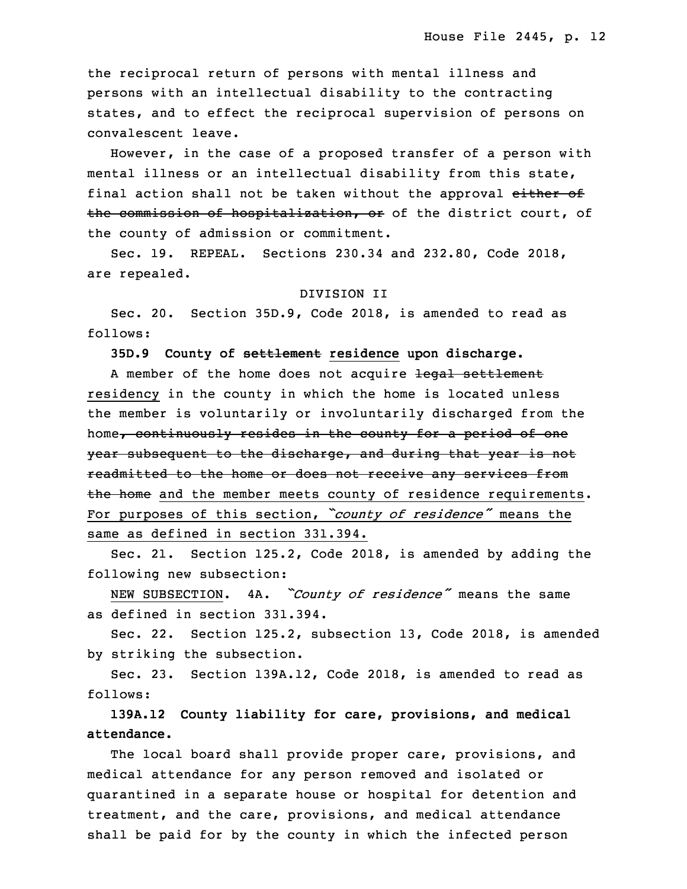the reciprocal return of persons with mental illness and persons with an intellectual disability to the contracting states, and to effect the reciprocal supervision of persons on convalescent leave.

However, in the case of a proposed transfer of a person with mental illness or an intellectual disability from this state, final action shall not be taken without the approval either of the commission of hospitalization, or of the district court, of the county of admission or commitment.

 Sec. 19. REPEAL. Sections 230.34 and 232.80, Code 2018, are repealed.

#### 3 DIVISION II

 Sec. 20. Section 35D.9, Code 2018, is amended to read as 5 follows:

6 **35D.9 County of settlement residence upon discharge.**

A member of the home does not acquire legal settlement residency in the county in which the home is located unless the member is voluntarily or involuntarily discharged from the home, continuously resides in the county for a period of one year subsequent to the discharge, and during that year is not readmitted to the home or does not receive any services from the home and the member meets county of residence requirements. For purposes of this section, *"county of residence"* means the same as defined in section 331.394.

Sec. 21. Section 125.2, Code 2018, is amended by adding the following new subsection:

<sup>18</sup> NEW SUBSECTION. 4A. *"County of residence"* means the same as defined in section 331.394.

Sec. 22. Section 125.2, subsection 13, Code 2018, is amended by striking the subsection.

 Sec. 23. Section 139A.12, Code 2018, is amended to read as follows:

 **139A.12 County liability for care, provisions, and medical** 25 **attendance.**

The local board shall provide proper care, provisions, and medical attendance for any person removed and isolated or quarantined in a separate house or hospital for detention and treatment, and the care, provisions, and medical attendance shall be paid for by the county in which the infected person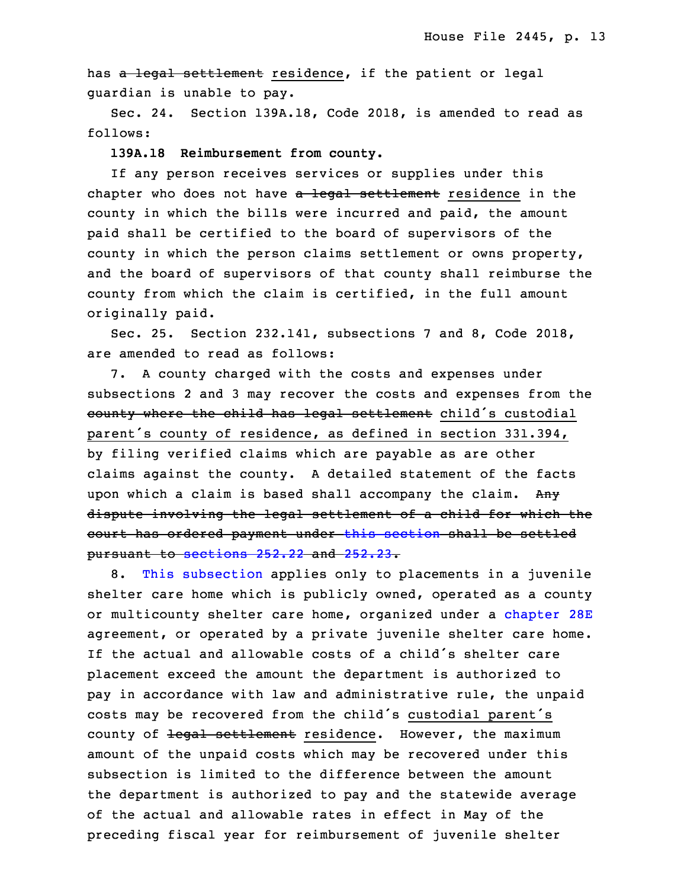has a legal settlement residence, if the patient or legal quardian is unable to pay.

Sec. 24. Section 139A.18, Code 2018, is amended to read as follows:

#### 35 **139A.18 Reimbursement from county.**

 If any person receives services or supplies under this chapter who does not have a legal settlement residence in the county in which the bills were incurred and paid, the amount paid shall be certified to the board of supervisors of the county in which the person claims settlement or owns property, and the board of supervisors of that county shall reimburse the county from which the claim is certified, in the full amount originally paid.

9 Sec. 25. Section 232.141, subsections 7 and 8, Code 2018, are amended to read as follows:

 7. <sup>A</sup> county charged with the costs and expenses under subsections 2 and 3 may recover the costs and expenses from the county where the child has legal settlement child's custodial parent's county of residence, as defined in section 331.394, by filing verified claims which are payable as are other claims against the county. A detailed statement of the facts upon which a claim is based shall accompany the claim. Any dispute involving the legal settlement of a child for which the court has ordered payment under this [section](https://www.legis.iowa.gov/docs/code/2018/232.141.pdf) shall be settled pursuant to [sections](https://www.legis.iowa.gov/docs/code/2018/252.22.pdf) 252.22 and [252.23](https://www.legis.iowa.gov/docs/code/2018/252.23.pdf).

 8. This [subsection](https://www.legis.iowa.gov/docs/code/2018/232.141.pdf) applies only to placements in <sup>a</sup> juvenile shelter care home which is publicly owned, operated as <sup>a</sup> county or multicounty shelter care home, organized under a [chapter](https://www.legis.iowa.gov/docs/code/2018/28E.pdf) 28E agreement, or operated by <sup>a</sup> private juvenile shelter care home. If the actual and allowable costs of a child's shelter care placement exceed the amount the department is authorized to pay in accordance with law and administrative rule, the unpaid costs may be recovered from the child's custodial parent's county of legal settlement residence. However, the maximum amount of the unpaid costs which may be recovered under this subsection is limited to the difference between the amount the department is authorized to pay and the statewide average of the actual and allowable rates in effect in May of the preceding fiscal year for reimbursement of juvenile shelter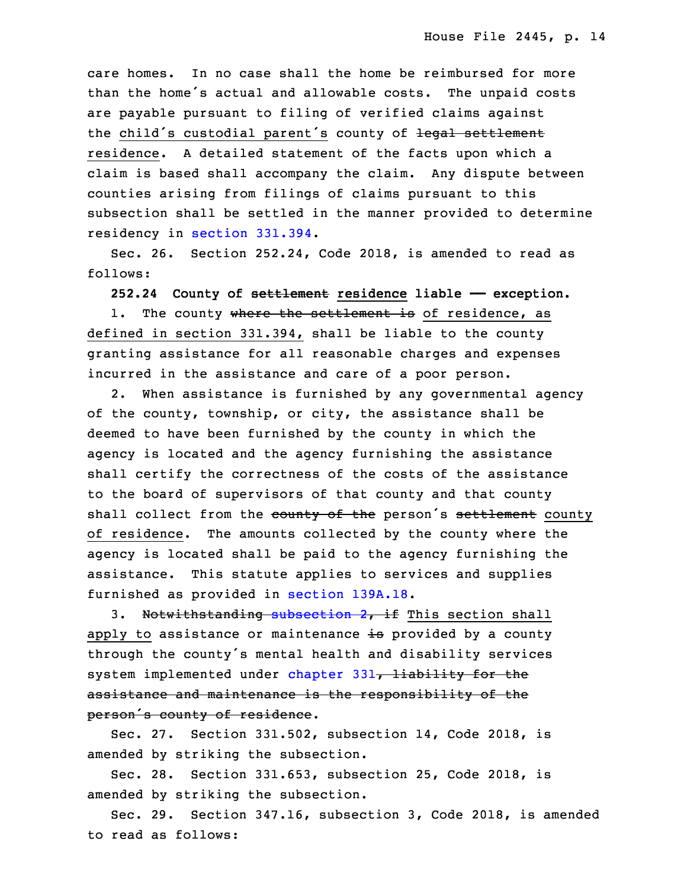care homes. In no case shall the home be reimbursed for more than the home's actual and allowable costs. The unpaid costs are payable pursuant to filing of verified claims against the child's custodial parent's county of legal settlement residence. <sup>A</sup> detailed statement of the facts upon which <sup>a</sup> claim is based shall accompany the claim. Any dispute between counties arising from filings of claims pursuant to this subsection shall be settled in the manner provided to determine residency in [section](https://www.legis.iowa.gov/docs/code/2018/331.394.pdf) 331.394.

Sec. 26. Section 252.24, Code 2018, is amended to read as follows:

**252.24 County of settlement residence liable —— exception.**

1. The county where the settlement is of residence, as defined in section 331.394, shall be liable to the county granting assistance for all reasonable charges and expenses incurred in the assistance and care of a poor person.

2. When assistance is furnished by any governmental agency of the county, township, or city, the assistance shall be deemed to have been furnished by the county in which the agency is located and the agency furnishing the assistance shall certify the correctness of the costs of the assistance to the board of supervisors of that county and that county shall collect from the county of the person's settlement county of residence. The amounts collected by the county where the agency is located shall be paid to the agency furnishing the assistance. This statute applies to services and supplies furnished as provided in section [139A.18](https://www.legis.iowa.gov/docs/code/2018/139A.18.pdf).

3. Notwithstanding [subsection](https://www.legis.iowa.gov/docs/code/2018/252.24.pdf) 2, if This section shall apply to assistance or maintenance is provided by a county through the county's mental health and disability services system implemented under [chapter](https://www.legis.iowa.gov/docs/code/2018/331.pdf) 331, liability for the assistance and maintenance is the responsibility of the person's county of residence.

Sec. 27. Section 331.502, subsection 14, Code 2018, is amended by striking the subsection.

Sec. 28. Section 331.653, subsection 25, Code 2018, is amended by striking the subsection.

 Sec. 29. Section 347.16, subsection 3, Code 2018, is amended to read as follows: